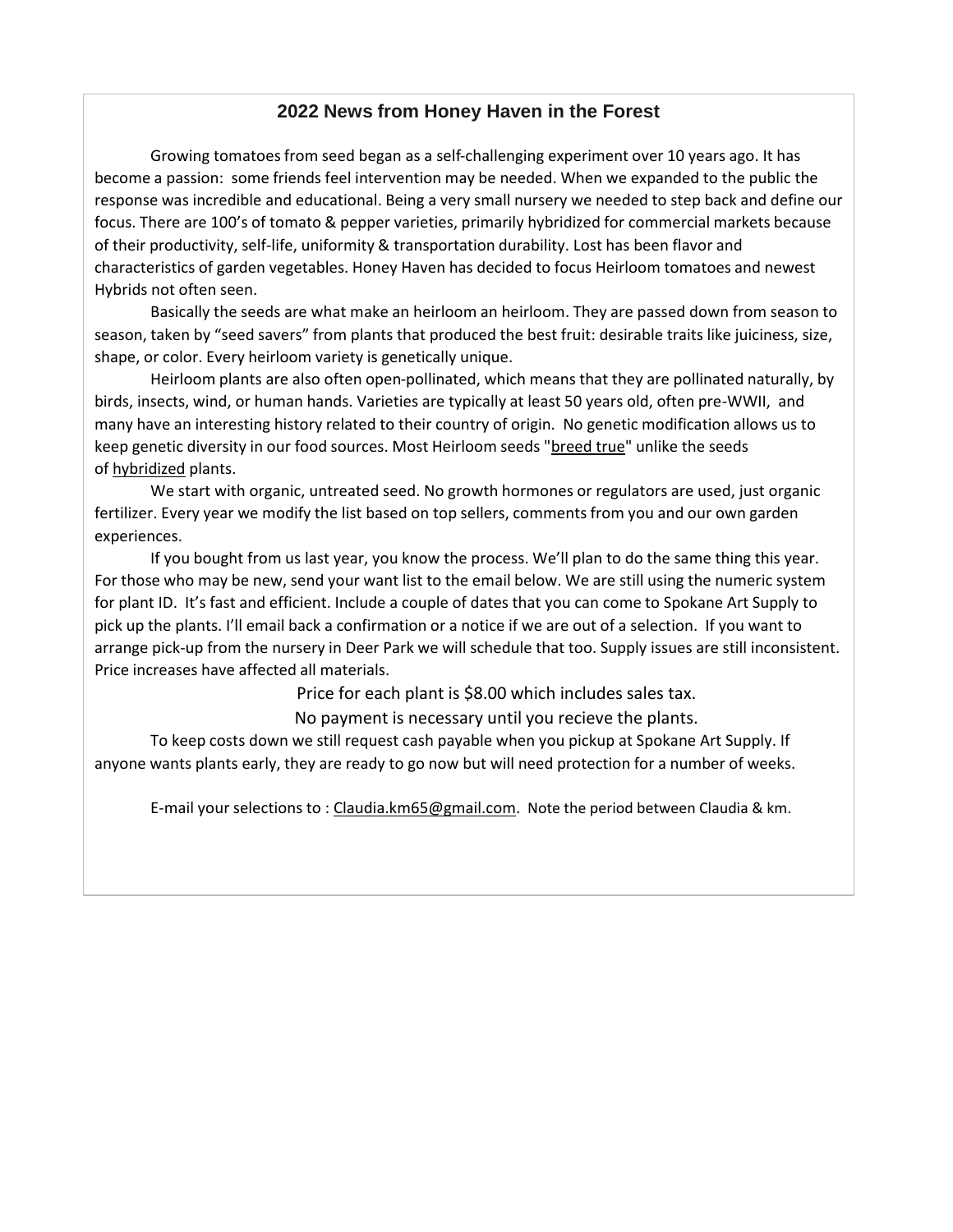## **2022 News from Honey Haven in the Forest**

Growing tomatoes from seed began as a self-challenging experiment over 10 years ago. It has become a passion: some friends feel intervention may be needed. When we expanded to the public the response was incredible and educational. Being a very small nursery we needed to step back and define our focus. There are 100's of tomato & pepper varieties, primarily hybridized for commercial markets because of their productivity, self-life, uniformity & transportation durability. Lost has been flavor and characteristics of garden vegetables. Honey Haven has decided to focus Heirloom tomatoes and newest Hybrids not often seen.

Basically the seeds are what make an heirloom an heirloom. They are passed down from season to season, taken by "seed savers" from plants that produced the best fruit: desirable traits like juiciness, size, shape, or color. Every heirloom variety is genetically unique.

Heirloom plants are also often open-pollinated, which means that they are pollinated naturally, by birds, insects, wind, or human hands. Varieties are typically at least 50 years old, often pre-WWII, and many have an interesting history related to their country of origin. No genetic modification allows us to keep genetic diversity in our food sources. Most Heirloom seeds "breed true" unlike the seeds of hybridized plants.

We start with organic, untreated seed. No growth hormones or regulators are used, just organic fertilizer. Every year we modify the list based on top sellers, comments from you and our own garden experiences.

If you bought from us last year, you know the process. We'll plan to do the same thing this year. For those who may be new, send your want list to the email below. We are still using the numeric system for plant ID. It's fast and efficient. Include a couple of dates that you can come to Spokane Art Supply to pick up the plants. I'll email back a confirmation or a notice if we are out of a selection. If you want to arrange pick-up from the nursery in Deer Park we will schedule that too. Supply issues are still inconsistent. Price increases have affected all materials.

Price for each plant is \$8.00 which includes sales tax.

No payment is necessary until you recieve the plants.

To keep costs down we still request cash payable when you pickup at Spokane Art Supply. If anyone wants plants early, they are ready to go now but will need protection for a number of weeks.

E-mail your selections to : Claudia.km65@gmail.com. Note the period between Claudia & km.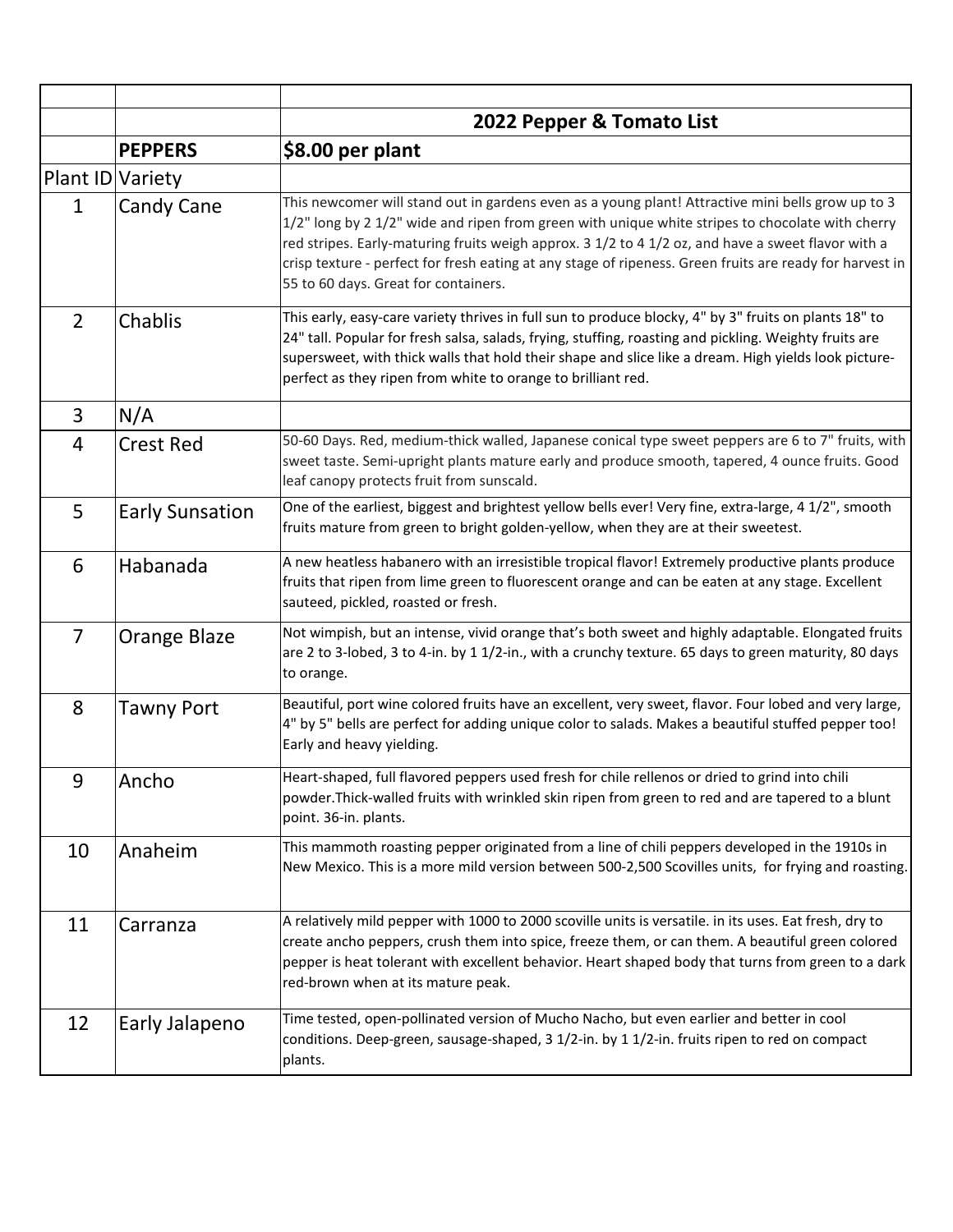|                  |                        | 2022 Pepper & Tomato List                                                                                                                                                                                                                                                                                                                                                                                                                                       |
|------------------|------------------------|-----------------------------------------------------------------------------------------------------------------------------------------------------------------------------------------------------------------------------------------------------------------------------------------------------------------------------------------------------------------------------------------------------------------------------------------------------------------|
|                  | <b>PEPPERS</b>         | \$8.00 per plant                                                                                                                                                                                                                                                                                                                                                                                                                                                |
| Plant ID Variety |                        |                                                                                                                                                                                                                                                                                                                                                                                                                                                                 |
| $\mathbf 1$      | Candy Cane             | This newcomer will stand out in gardens even as a young plant! Attractive mini bells grow up to 3<br>1/2" long by 2 1/2" wide and ripen from green with unique white stripes to chocolate with cherry<br>red stripes. Early-maturing fruits weigh approx. 3 1/2 to 4 1/2 oz, and have a sweet flavor with a<br>crisp texture - perfect for fresh eating at any stage of ripeness. Green fruits are ready for harvest in<br>55 to 60 days. Great for containers. |
| $\overline{2}$   | Chablis                | This early, easy-care variety thrives in full sun to produce blocky, 4" by 3" fruits on plants 18" to<br>24" tall. Popular for fresh salsa, salads, frying, stuffing, roasting and pickling. Weighty fruits are<br>supersweet, with thick walls that hold their shape and slice like a dream. High yields look picture-<br>perfect as they ripen from white to orange to brilliant red.                                                                         |
| 3                | N/A                    |                                                                                                                                                                                                                                                                                                                                                                                                                                                                 |
| 4                | <b>Crest Red</b>       | 50-60 Days. Red, medium-thick walled, Japanese conical type sweet peppers are 6 to 7" fruits, with<br>sweet taste. Semi-upright plants mature early and produce smooth, tapered, 4 ounce fruits. Good<br>leaf canopy protects fruit from sunscald.                                                                                                                                                                                                              |
| 5                | <b>Early Sunsation</b> | One of the earliest, biggest and brightest yellow bells ever! Very fine, extra-large, 4 1/2", smooth<br>fruits mature from green to bright golden-yellow, when they are at their sweetest.                                                                                                                                                                                                                                                                      |
| 6                | Habanada               | A new heatless habanero with an irresistible tropical flavor! Extremely productive plants produce<br>fruits that ripen from lime green to fluorescent orange and can be eaten at any stage. Excellent<br>sauteed, pickled, roasted or fresh.                                                                                                                                                                                                                    |
| $\overline{7}$   | <b>Orange Blaze</b>    | Not wimpish, but an intense, vivid orange that's both sweet and highly adaptable. Elongated fruits<br>are 2 to 3-lobed, 3 to 4-in. by 1 1/2-in., with a crunchy texture. 65 days to green maturity, 80 days<br>to orange.                                                                                                                                                                                                                                       |
| 8                | <b>Tawny Port</b>      | Beautiful, port wine colored fruits have an excellent, very sweet, flavor. Four lobed and very large,<br>4" by 5" bells are perfect for adding unique color to salads. Makes a beautiful stuffed pepper too!<br>Early and heavy yielding.                                                                                                                                                                                                                       |
| 9                | Ancho                  | Heart-shaped, full flavored peppers used fresh for chile rellenos or dried to grind into chili<br>powder. Thick-walled fruits with wrinkled skin ripen from green to red and are tapered to a blunt<br>point. 36-in. plants.                                                                                                                                                                                                                                    |
| 10               | Anaheim                | This mammoth roasting pepper originated from a line of chili peppers developed in the 1910s in<br>New Mexico. This is a more mild version between 500-2,500 Scovilles units, for frying and roasting.                                                                                                                                                                                                                                                           |
| 11               | Carranza               | A relatively mild pepper with 1000 to 2000 scoville units is versatile. in its uses. Eat fresh, dry to<br>create ancho peppers, crush them into spice, freeze them, or can them. A beautiful green colored<br>pepper is heat tolerant with excellent behavior. Heart shaped body that turns from green to a dark<br>red-brown when at its mature peak.                                                                                                          |
| 12               | Early Jalapeno         | Time tested, open-pollinated version of Mucho Nacho, but even earlier and better in cool<br>conditions. Deep-green, sausage-shaped, 3 1/2-in. by 1 1/2-in. fruits ripen to red on compact<br>plants.                                                                                                                                                                                                                                                            |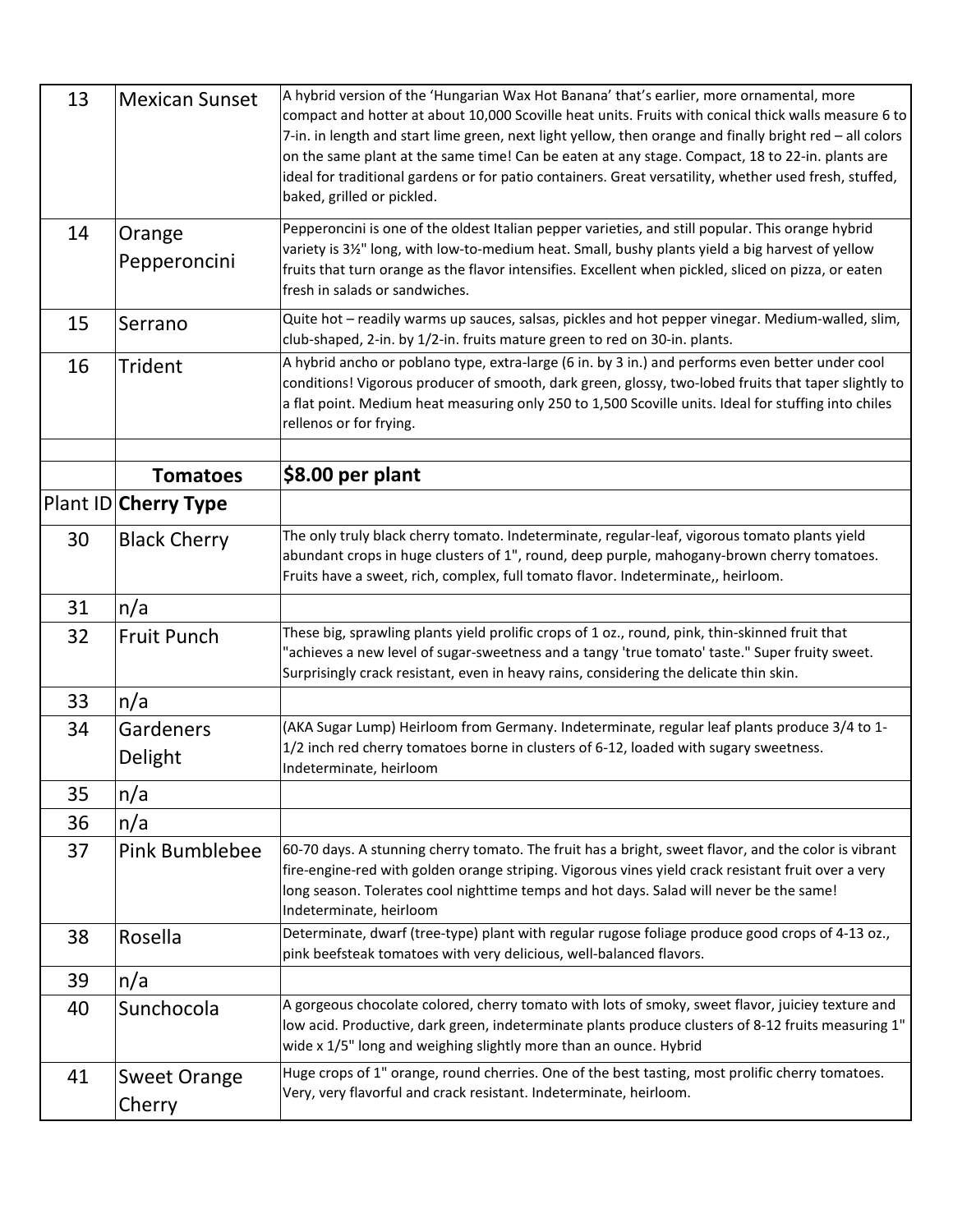| 13 | <b>Mexican Sunset</b>         | A hybrid version of the 'Hungarian Wax Hot Banana' that's earlier, more ornamental, more<br>compact and hotter at about 10,000 Scoville heat units. Fruits with conical thick walls measure 6 to<br>7-in. in length and start lime green, next light yellow, then orange and finally bright red - all colors<br>on the same plant at the same time! Can be eaten at any stage. Compact, 18 to 22-in. plants are<br>ideal for traditional gardens or for patio containers. Great versatility, whether used fresh, stuffed,<br>baked, grilled or pickled. |
|----|-------------------------------|---------------------------------------------------------------------------------------------------------------------------------------------------------------------------------------------------------------------------------------------------------------------------------------------------------------------------------------------------------------------------------------------------------------------------------------------------------------------------------------------------------------------------------------------------------|
| 14 | Orange<br>Pepperoncini        | Pepperoncini is one of the oldest Italian pepper varieties, and still popular. This orange hybrid<br>variety is 31/ <sub>2</sub> " long, with low-to-medium heat. Small, bushy plants yield a big harvest of yellow<br>fruits that turn orange as the flavor intensifies. Excellent when pickled, sliced on pizza, or eaten<br>fresh in salads or sandwiches.                                                                                                                                                                                           |
| 15 | Serrano                       | Quite hot - readily warms up sauces, salsas, pickles and hot pepper vinegar. Medium-walled, slim,<br>club-shaped, 2-in. by 1/2-in. fruits mature green to red on 30-in. plants.                                                                                                                                                                                                                                                                                                                                                                         |
| 16 | <b>Trident</b>                | A hybrid ancho or poblano type, extra-large (6 in. by 3 in.) and performs even better under cool<br>conditions! Vigorous producer of smooth, dark green, glossy, two-lobed fruits that taper slightly to<br>a flat point. Medium heat measuring only 250 to 1,500 Scoville units. Ideal for stuffing into chiles<br>rellenos or for frying.                                                                                                                                                                                                             |
|    |                               |                                                                                                                                                                                                                                                                                                                                                                                                                                                                                                                                                         |
|    | <b>Tomatoes</b>               | \$8.00 per plant                                                                                                                                                                                                                                                                                                                                                                                                                                                                                                                                        |
|    | Plant ID Cherry Type          |                                                                                                                                                                                                                                                                                                                                                                                                                                                                                                                                                         |
| 30 | <b>Black Cherry</b>           | The only truly black cherry tomato. Indeterminate, regular-leaf, vigorous tomato plants yield<br>abundant crops in huge clusters of 1", round, deep purple, mahogany-brown cherry tomatoes.<br>Fruits have a sweet, rich, complex, full tomato flavor. Indeterminate,, heirloom.                                                                                                                                                                                                                                                                        |
| 31 | n/a                           |                                                                                                                                                                                                                                                                                                                                                                                                                                                                                                                                                         |
| 32 | <b>Fruit Punch</b>            | These big, sprawling plants yield prolific crops of 1 oz., round, pink, thin-skinned fruit that<br>"achieves a new level of sugar-sweetness and a tangy 'true tomato' taste." Super fruity sweet.<br>Surprisingly crack resistant, even in heavy rains, considering the delicate thin skin.                                                                                                                                                                                                                                                             |
| 33 | n/a                           |                                                                                                                                                                                                                                                                                                                                                                                                                                                                                                                                                         |
| 34 | Gardeners<br>Delight          | (AKA Sugar Lump) Heirloom from Germany. Indeterminate, regular leaf plants produce 3/4 to 1-<br>1/2 inch red cherry tomatoes borne in clusters of 6-12, loaded with sugary sweetness.<br>Indeterminate, heirloom                                                                                                                                                                                                                                                                                                                                        |
| 35 | n/a                           |                                                                                                                                                                                                                                                                                                                                                                                                                                                                                                                                                         |
| 36 | n/a                           |                                                                                                                                                                                                                                                                                                                                                                                                                                                                                                                                                         |
| 37 | <b>Pink Bumblebee</b>         | 60-70 days. A stunning cherry tomato. The fruit has a bright, sweet flavor, and the color is vibrant<br>fire-engine-red with golden orange striping. Vigorous vines yield crack resistant fruit over a very<br>long season. Tolerates cool nighttime temps and hot days. Salad will never be the same!<br>Indeterminate, heirloom                                                                                                                                                                                                                       |
| 38 | Rosella                       | Determinate, dwarf (tree-type) plant with regular rugose foliage produce good crops of 4-13 oz.,<br>pink beefsteak tomatoes with very delicious, well-balanced flavors.                                                                                                                                                                                                                                                                                                                                                                                 |
| 39 | n/a                           |                                                                                                                                                                                                                                                                                                                                                                                                                                                                                                                                                         |
| 40 | Sunchocola                    | A gorgeous chocolate colored, cherry tomato with lots of smoky, sweet flavor, juiciey texture and<br>low acid. Productive, dark green, indeterminate plants produce clusters of 8-12 fruits measuring 1"<br>wide x 1/5" long and weighing slightly more than an ounce. Hybrid                                                                                                                                                                                                                                                                           |
| 41 | <b>Sweet Orange</b><br>Cherry | Huge crops of 1" orange, round cherries. One of the best tasting, most prolific cherry tomatoes.<br>Very, very flavorful and crack resistant. Indeterminate, heirloom.                                                                                                                                                                                                                                                                                                                                                                                  |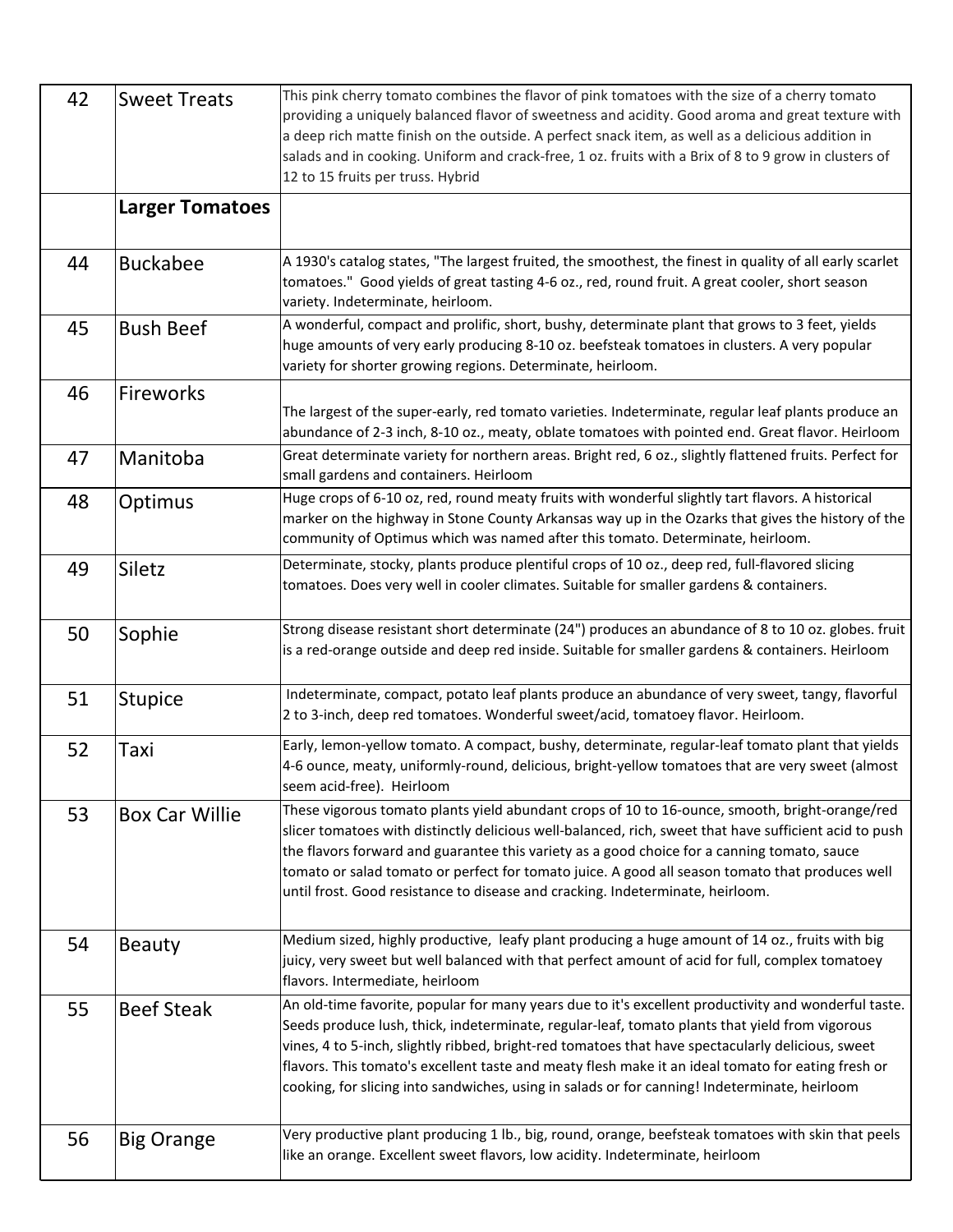| 42 | <b>Sweet Treats</b>    | This pink cherry tomato combines the flavor of pink tomatoes with the size of a cherry tomato<br>providing a uniquely balanced flavor of sweetness and acidity. Good aroma and great texture with<br>a deep rich matte finish on the outside. A perfect snack item, as well as a delicious addition in<br>salads and in cooking. Uniform and crack-free, 1 oz. fruits with a Brix of 8 to 9 grow in clusters of<br>12 to 15 fruits per truss. Hybrid                                                               |
|----|------------------------|--------------------------------------------------------------------------------------------------------------------------------------------------------------------------------------------------------------------------------------------------------------------------------------------------------------------------------------------------------------------------------------------------------------------------------------------------------------------------------------------------------------------|
|    | <b>Larger Tomatoes</b> |                                                                                                                                                                                                                                                                                                                                                                                                                                                                                                                    |
| 44 | <b>Buckabee</b>        | A 1930's catalog states, "The largest fruited, the smoothest, the finest in quality of all early scarlet<br>tomatoes." Good yields of great tasting 4-6 oz., red, round fruit. A great cooler, short season<br>variety. Indeterminate, heirloom.                                                                                                                                                                                                                                                                   |
| 45 | <b>Bush Beef</b>       | A wonderful, compact and prolific, short, bushy, determinate plant that grows to 3 feet, yields<br>huge amounts of very early producing 8-10 oz. beefsteak tomatoes in clusters. A very popular<br>variety for shorter growing regions. Determinate, heirloom.                                                                                                                                                                                                                                                     |
| 46 | Fireworks              | The largest of the super-early, red tomato varieties. Indeterminate, regular leaf plants produce an<br>abundance of 2-3 inch, 8-10 oz., meaty, oblate tomatoes with pointed end. Great flavor. Heirloom                                                                                                                                                                                                                                                                                                            |
| 47 | Manitoba               | Great determinate variety for northern areas. Bright red, 6 oz., slightly flattened fruits. Perfect for<br>small gardens and containers. Heirloom                                                                                                                                                                                                                                                                                                                                                                  |
| 48 | Optimus                | Huge crops of 6-10 oz, red, round meaty fruits with wonderful slightly tart flavors. A historical<br>marker on the highway in Stone County Arkansas way up in the Ozarks that gives the history of the<br>community of Optimus which was named after this tomato. Determinate, heirloom.                                                                                                                                                                                                                           |
| 49 | Siletz                 | Determinate, stocky, plants produce plentiful crops of 10 oz., deep red, full-flavored slicing<br>tomatoes. Does very well in cooler climates. Suitable for smaller gardens & containers.                                                                                                                                                                                                                                                                                                                          |
| 50 | Sophie                 | Strong disease resistant short determinate (24") produces an abundance of 8 to 10 oz. globes. fruit<br>is a red-orange outside and deep red inside. Suitable for smaller gardens & containers. Heirloom                                                                                                                                                                                                                                                                                                            |
| 51 | <b>Stupice</b>         | Indeterminate, compact, potato leaf plants produce an abundance of very sweet, tangy, flavorful<br>2 to 3-inch, deep red tomatoes. Wonderful sweet/acid, tomatoey flavor. Heirloom.                                                                                                                                                                                                                                                                                                                                |
| 52 | Taxi                   | Early, lemon-yellow tomato. A compact, bushy, determinate, regular-leaf tomato plant that yields<br>4-6 ounce, meaty, uniformly-round, delicious, bright-yellow tomatoes that are very sweet (almost<br>seem acid-free). Heirloom                                                                                                                                                                                                                                                                                  |
| 53 | <b>Box Car Willie</b>  | These vigorous tomato plants yield abundant crops of 10 to 16-ounce, smooth, bright-orange/red<br>slicer tomatoes with distinctly delicious well-balanced, rich, sweet that have sufficient acid to push<br>the flavors forward and guarantee this variety as a good choice for a canning tomato, sauce<br>tomato or salad tomato or perfect for tomato juice. A good all season tomato that produces well<br>until frost. Good resistance to disease and cracking. Indeterminate, heirloom.                       |
| 54 | <b>Beauty</b>          | Medium sized, highly productive, leafy plant producing a huge amount of 14 oz., fruits with big<br>juicy, very sweet but well balanced with that perfect amount of acid for full, complex tomatoey<br>flavors. Intermediate, heirloom                                                                                                                                                                                                                                                                              |
| 55 | <b>Beef Steak</b>      | An old-time favorite, popular for many years due to it's excellent productivity and wonderful taste.<br>Seeds produce lush, thick, indeterminate, regular-leaf, tomato plants that yield from vigorous<br>vines, 4 to 5-inch, slightly ribbed, bright-red tomatoes that have spectacularly delicious, sweet<br>flavors. This tomato's excellent taste and meaty flesh make it an ideal tomato for eating fresh or<br>cooking, for slicing into sandwiches, using in salads or for canning! Indeterminate, heirloom |
| 56 | <b>Big Orange</b>      | Very productive plant producing 1 lb., big, round, orange, beefsteak tomatoes with skin that peels<br>like an orange. Excellent sweet flavors, low acidity. Indeterminate, heirloom                                                                                                                                                                                                                                                                                                                                |